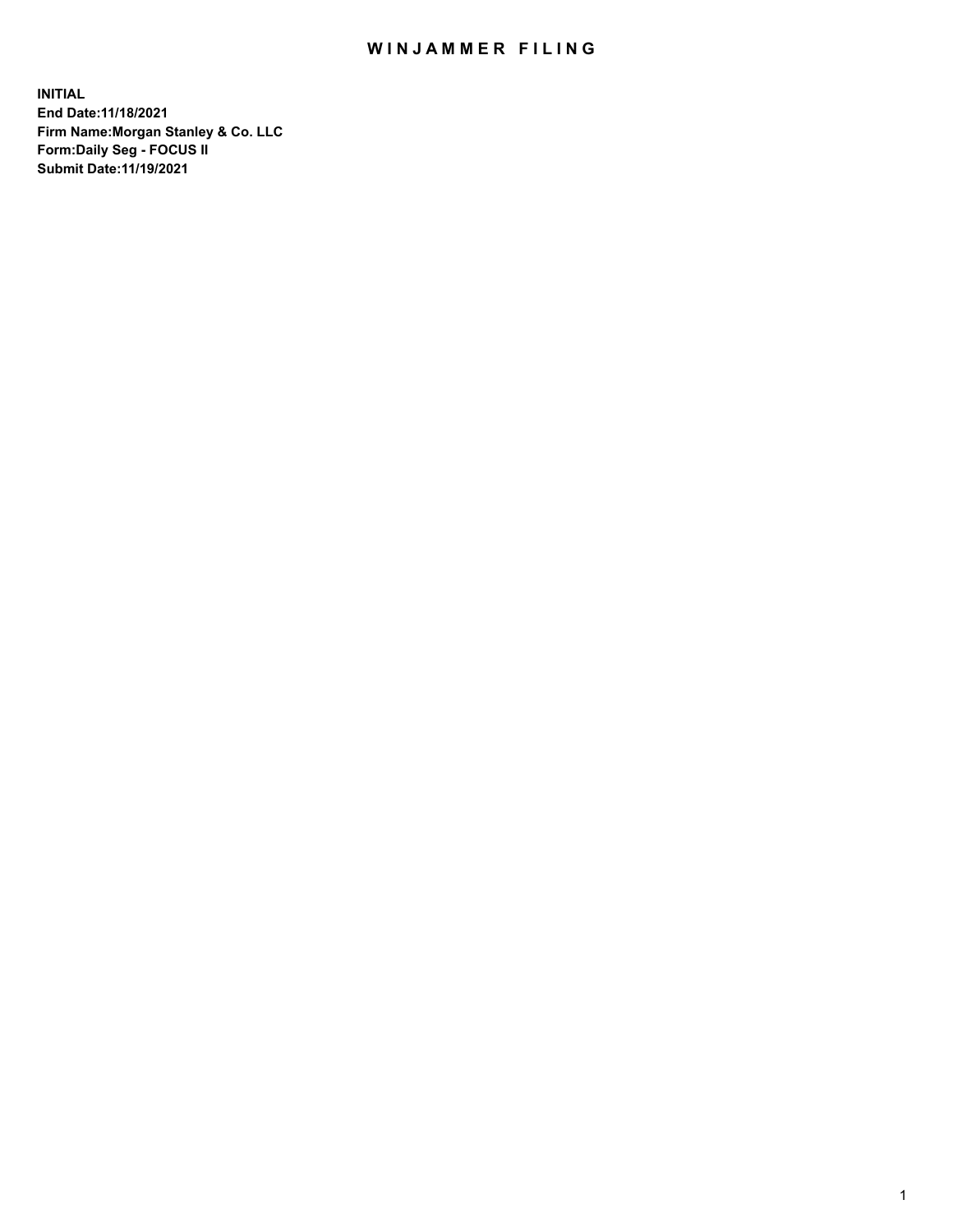## WIN JAMMER FILING

**INITIAL End Date:11/18/2021 Firm Name:Morgan Stanley & Co. LLC Form:Daily Seg - FOCUS II Submit Date:11/19/2021**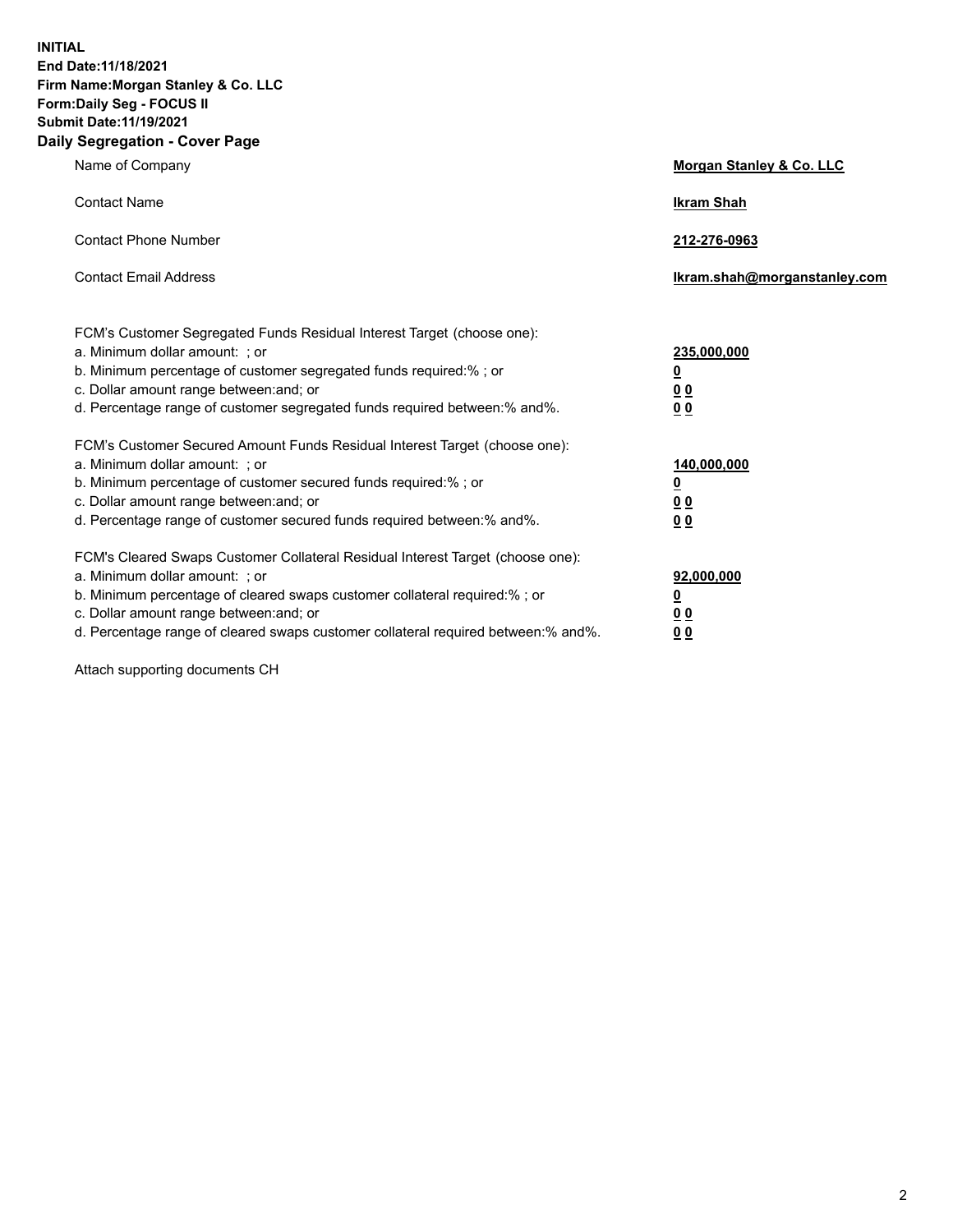**INITIAL End Date:11/18/2021 Firm Name:Morgan Stanley & Co. LLC Form:Daily Seg - FOCUS II Submit Date:11/19/2021 Daily Segregation - Cover Page**

| Name of Company                                                                                                                                                                                                                                                                                                                | Morgan Stanley & Co. LLC                                |
|--------------------------------------------------------------------------------------------------------------------------------------------------------------------------------------------------------------------------------------------------------------------------------------------------------------------------------|---------------------------------------------------------|
| <b>Contact Name</b>                                                                                                                                                                                                                                                                                                            | <b>Ikram Shah</b>                                       |
| <b>Contact Phone Number</b>                                                                                                                                                                                                                                                                                                    | 212-276-0963                                            |
| <b>Contact Email Address</b>                                                                                                                                                                                                                                                                                                   | Ikram.shah@morganstanley.com                            |
| FCM's Customer Segregated Funds Residual Interest Target (choose one):<br>a. Minimum dollar amount: ; or<br>b. Minimum percentage of customer segregated funds required:% ; or<br>c. Dollar amount range between: and; or<br>d. Percentage range of customer segregated funds required between:% and%.                         | 235,000,000<br><u>0</u><br>0 <sup>0</sup><br>00         |
| FCM's Customer Secured Amount Funds Residual Interest Target (choose one):<br>a. Minimum dollar amount: ; or<br>b. Minimum percentage of customer secured funds required:%; or<br>c. Dollar amount range between: and; or<br>d. Percentage range of customer secured funds required between:% and%.                            | 140,000,000<br><u>0</u><br><u>0 0</u><br>0 <sub>0</sub> |
| FCM's Cleared Swaps Customer Collateral Residual Interest Target (choose one):<br>a. Minimum dollar amount: ; or<br>b. Minimum percentage of cleared swaps customer collateral required:% ; or<br>c. Dollar amount range between: and; or<br>d. Percentage range of cleared swaps customer collateral required between:% and%. | 92,000,000<br><u>0</u><br><u>00</u><br>0 <sub>0</sub>   |

Attach supporting documents CH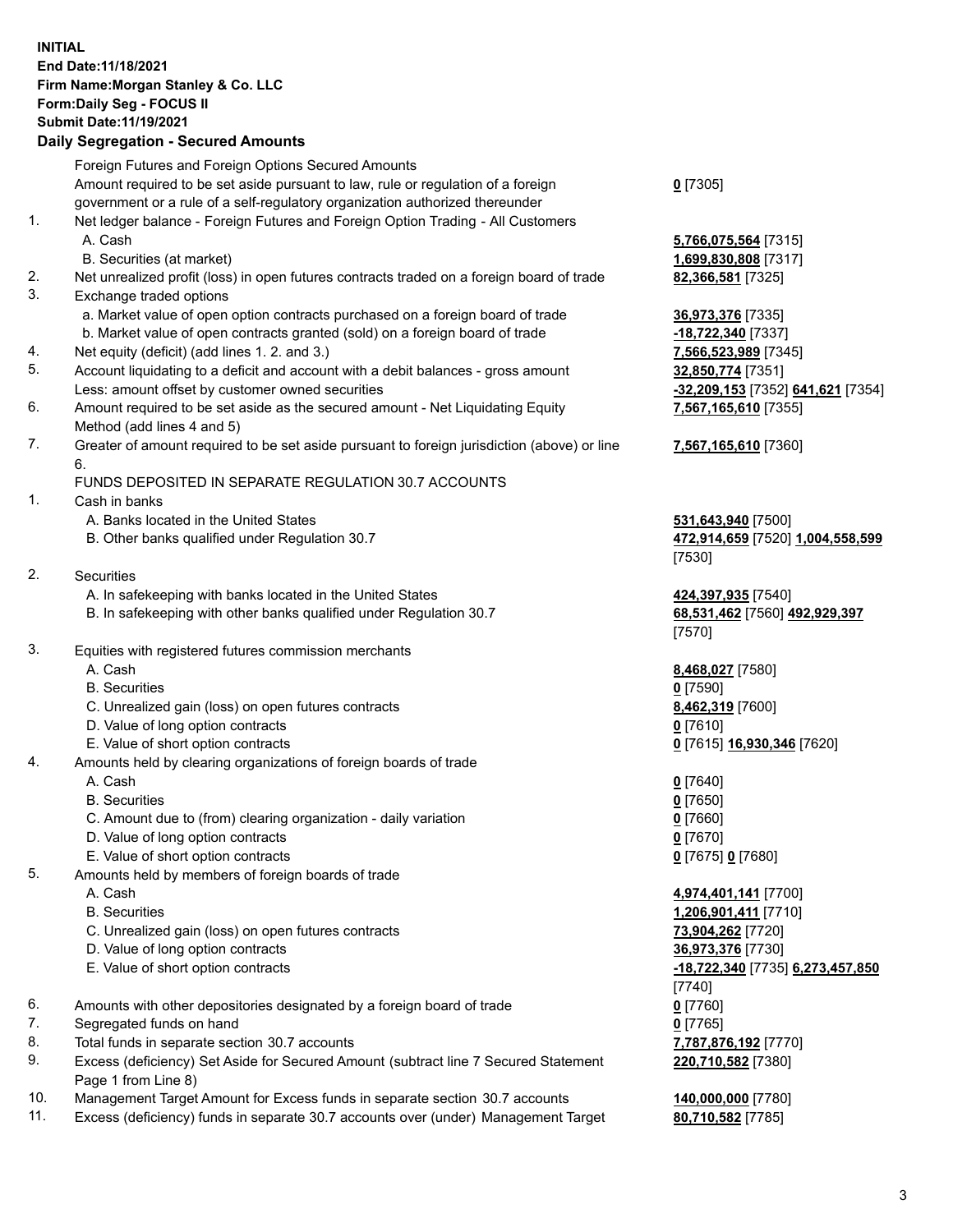## **INITIAL End Date:11/18/2021 Firm Name:Morgan Stanley & Co. LLC Form:Daily Seg - FOCUS II Submit Date:11/19/2021**

## **Daily Segregation - Secured Amounts**

|    | Foreign Futures and Foreign Options Secured Amounts                                         |                                         |
|----|---------------------------------------------------------------------------------------------|-----------------------------------------|
|    | Amount required to be set aside pursuant to law, rule or regulation of a foreign            | $0$ [7305]                              |
|    | government or a rule of a self-regulatory organization authorized thereunder                |                                         |
| 1. | Net ledger balance - Foreign Futures and Foreign Option Trading - All Customers             |                                         |
|    | A. Cash                                                                                     | 5,766,075,564 [7315]                    |
|    | B. Securities (at market)                                                                   | 1,699,830,808 [7317]                    |
| 2. | Net unrealized profit (loss) in open futures contracts traded on a foreign board of trade   | 82,366,581 [7325]                       |
| 3. | Exchange traded options                                                                     |                                         |
|    | a. Market value of open option contracts purchased on a foreign board of trade              | 36,973,376 [7335]                       |
|    | b. Market value of open contracts granted (sold) on a foreign board of trade                | -18,722,340 [7337]                      |
| 4. | Net equity (deficit) (add lines 1.2. and 3.)                                                |                                         |
| 5. |                                                                                             | 7,566,523,989 [7345]                    |
|    | Account liquidating to a deficit and account with a debit balances - gross amount           | 32,850,774 [7351]                       |
|    | Less: amount offset by customer owned securities                                            | -32,209,153 [7352] 641,621 [7354]       |
| 6. | Amount required to be set aside as the secured amount - Net Liquidating Equity              | 7,567,165,610 [7355]                    |
|    | Method (add lines 4 and 5)                                                                  |                                         |
| 7. | Greater of amount required to be set aside pursuant to foreign jurisdiction (above) or line | 7,567,165,610 [7360]                    |
|    | 6.                                                                                          |                                         |
|    | FUNDS DEPOSITED IN SEPARATE REGULATION 30.7 ACCOUNTS                                        |                                         |
| 1. | Cash in banks                                                                               |                                         |
|    | A. Banks located in the United States                                                       | 531,643,940 [7500]                      |
|    | B. Other banks qualified under Regulation 30.7                                              | 472,914,659 [7520] 1,004,558,599        |
|    |                                                                                             | [7530]                                  |
| 2. | Securities                                                                                  |                                         |
|    | A. In safekeeping with banks located in the United States                                   | 424,397,935 [7540]                      |
|    | B. In safekeeping with other banks qualified under Regulation 30.7                          | 68,531,462 [7560] 492,929,397<br>[7570] |
| 3. | Equities with registered futures commission merchants                                       |                                         |
|    | A. Cash                                                                                     | 8,468,027 [7580]                        |
|    | <b>B.</b> Securities                                                                        | $0$ [7590]                              |
|    | C. Unrealized gain (loss) on open futures contracts                                         | 8,462,319 [7600]                        |
|    |                                                                                             |                                         |
|    | D. Value of long option contracts                                                           | $0$ [7610]                              |
|    | E. Value of short option contracts                                                          | 0 [7615] 16,930,346 [7620]              |
| 4. | Amounts held by clearing organizations of foreign boards of trade                           |                                         |
|    | A. Cash                                                                                     | $0$ [7640]                              |
|    | <b>B.</b> Securities                                                                        | $0$ [7650]                              |
|    | C. Amount due to (from) clearing organization - daily variation                             | $0$ [7660]                              |
|    | D. Value of long option contracts                                                           | $0$ [7670]                              |
|    | E. Value of short option contracts                                                          | 0 [7675] 0 [7680]                       |
| 5. | Amounts held by members of foreign boards of trade                                          |                                         |
|    | A. Cash                                                                                     | 4,974,401,141 [7700]                    |
|    | <b>B.</b> Securities                                                                        | 1,206,901,411 [7710]                    |
|    | C. Unrealized gain (loss) on open futures contracts                                         | 73,904,262 [7720]                       |
|    | D. Value of long option contracts                                                           | 36,973,376 [7730]                       |
|    | E. Value of short option contracts                                                          | -18,722,340 [7735] 6,273,457,850        |
|    |                                                                                             | [7740]                                  |
| 6. | Amounts with other depositories designated by a foreign board of trade                      | $0$ [7760]                              |
| 7. | Segregated funds on hand                                                                    | $0$ [7765]                              |
| 8. | Total funds in separate section 30.7 accounts                                               | 7,787,876,192 [7770]                    |
| 9. | Excess (deficiency) Set Aside for Secured Amount (subtract line 7 Secured Statement         | 220,710,582 [7380]                      |
|    | Page 1 from Line 8)                                                                         |                                         |

- 10. Management Target Amount for Excess funds in separate section 30.7 accounts **140,000,000** [7780]
- 11. Excess (deficiency) funds in separate 30.7 accounts over (under) Management Target **80,710,582** [7785]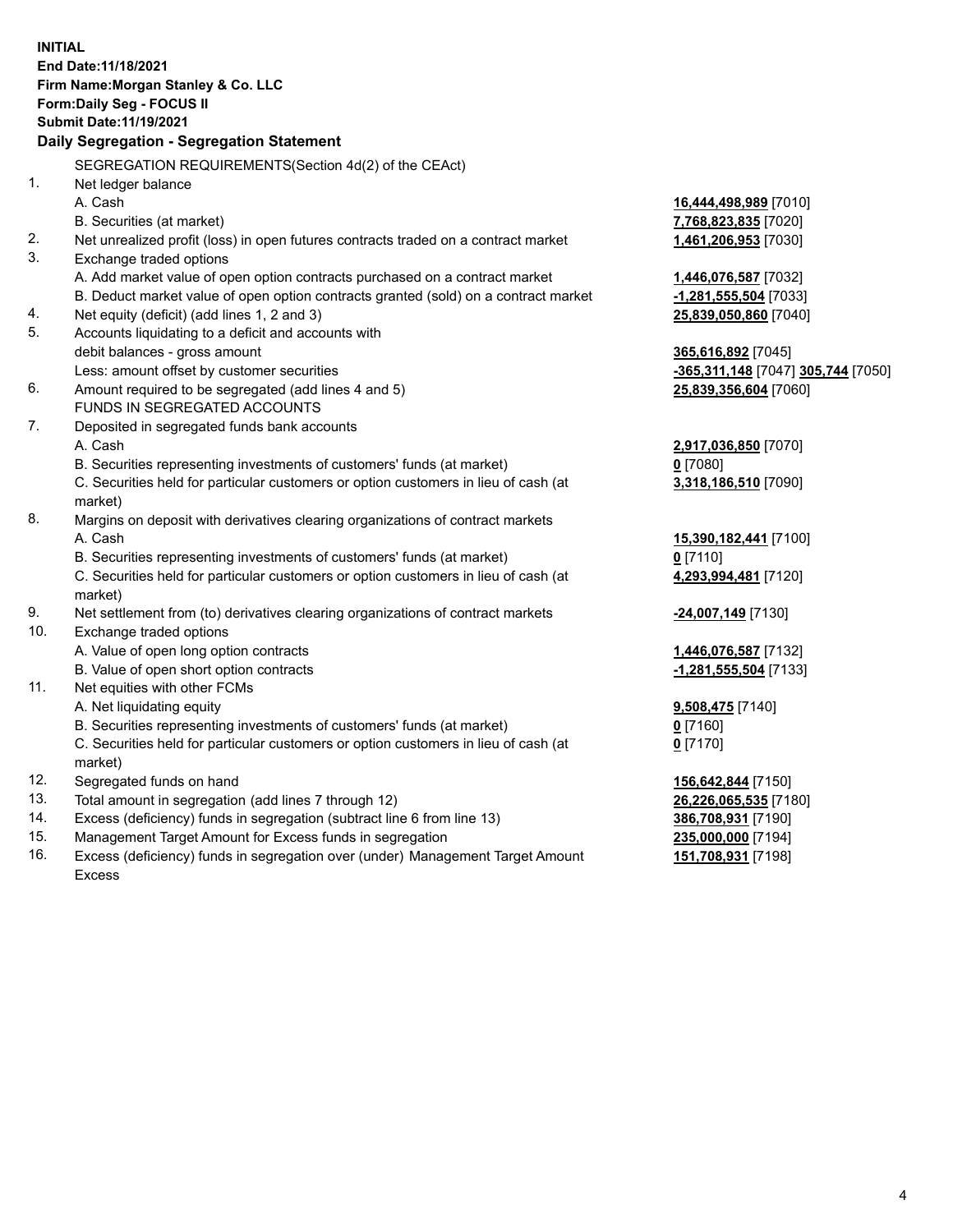**INITIAL End Date:11/18/2021 Firm Name:Morgan Stanley & Co. LLC Form:Daily Seg - FOCUS II Submit Date:11/19/2021 Daily Segregation - Segregation Statement** SEGREGATION REQUIREMENTS(Section 4d(2) of the CEAct) 1. Net ledger balance A. Cash **16,444,498,989** [7010] B. Securities (at market) **7,768,823,835** [7020] 2. Net unrealized profit (loss) in open futures contracts traded on a contract market **1,461,206,953** [7030] 3. Exchange traded options A. Add market value of open option contracts purchased on a contract market **1,446,076,587** [7032] B. Deduct market value of open option contracts granted (sold) on a contract market **-1,281,555,504** [7033] 4. Net equity (deficit) (add lines 1, 2 and 3) **25,839,050,860** [7040] 5. Accounts liquidating to a deficit and accounts with debit balances - gross amount **365,616,892** [7045] Less: amount offset by customer securities **-365,311,148** [7047] **305,744** [7050] 6. Amount required to be segregated (add lines 4 and 5) **25,839,356,604** [7060] FUNDS IN SEGREGATED ACCOUNTS 7. Deposited in segregated funds bank accounts A. Cash **2,917,036,850** [7070] B. Securities representing investments of customers' funds (at market) **0** [7080] C. Securities held for particular customers or option customers in lieu of cash (at market) **3,318,186,510** [7090] 8. Margins on deposit with derivatives clearing organizations of contract markets A. Cash **15,390,182,441** [7100] B. Securities representing investments of customers' funds (at market) **0** [7110] C. Securities held for particular customers or option customers in lieu of cash (at market) **4,293,994,481** [7120] 9. Net settlement from (to) derivatives clearing organizations of contract markets **-24,007,149** [7130] 10. Exchange traded options A. Value of open long option contracts **1,446,076,587** [7132] B. Value of open short option contracts **-1,281,555,504** [7133] 11. Net equities with other FCMs A. Net liquidating equity **9,508,475** [7140] B. Securities representing investments of customers' funds (at market) **0** [7160] C. Securities held for particular customers or option customers in lieu of cash (at market) **0** [7170] 12. Segregated funds on hand **156,642,844** [7150] 13. Total amount in segregation (add lines 7 through 12) **26,226,065,535** [7180] 14. Excess (deficiency) funds in segregation (subtract line 6 from line 13) **386,708,931** [7190] 15. Management Target Amount for Excess funds in segregation **235,000,000** [7194] **151,708,931** [7198]

16. Excess (deficiency) funds in segregation over (under) Management Target Amount Excess